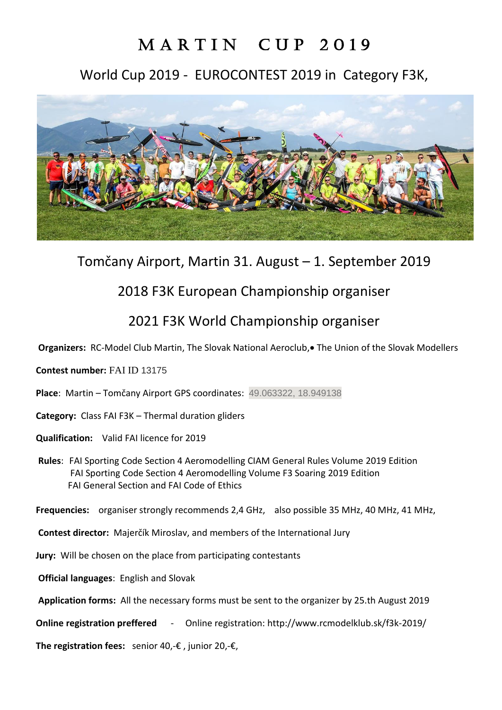# MARTIN CUP 2019

## World Cup 2019 - EUROCONTEST 2019 in Category F3K,



# Tomčany Airport, Martin 31. August – 1. September 2019

### 2018 F3K European Championship organiser

### 2021 F3K World Championship organiser

**Organizers:** RC-Model Club Martin, The Slovak National Aeroclub.• The Union of the Slovak Modellers

#### **Contest number:** FAI ID 13175

- **Place**: Martin Tomčany Airport GPS coordinates: 49.063322, 18.949138
- **Category:** Class FAI F3K Thermal duration gliders
- **Qualification:** Valid FAI licence for 2019
- **Rules**: FAI Sporting Code Section 4 Aeromodelling CIAM General Rules Volume 2019 Edition FAI Sporting Code Section 4 Aeromodelling Volume F3 Soaring 2019 Edition FAI General Section and FAI Code of Ethics

**Frequencies:** organiser strongly recommends 2,4 GHz, also possible 35 MHz, 40 MHz, 41 MHz,

- **Contest director:** Majerčík Miroslav, and members of the International Jury
- **Jury:** Will be chosen on the place from participating contestants
- **Official languages**: English and Slovak
- **Application forms:** All the necessary forms must be sent to the organizer by 25.th August 2019
- **Online registration preffered**  Online registration: http://www.rcmodelklub.sk/f3k-2019/

**The registration fees:** senior 40,-€ , junior 20,-€,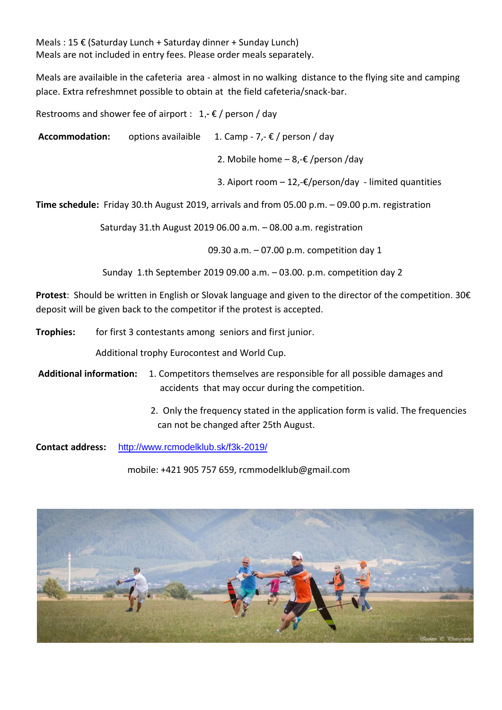Meals : 15 € (Saturday Lunch + Saturday dinner + Sunday Lunch) Meals are not included in entry fees. Please order meals separately.

Meals are availaible in the cafeteria area - almost in no walking distance to the flying site and camping place. Extra refreshmnet possible to obtain at the field cafeteria/snack-bar.

Restrooms and shower fee of airport :  $1,-\epsilon$  / person / day

**Accommodation:** options availaible 1. Camp - 7,- € / person / day

2. Mobile home  $-8, -\epsilon$  /person /day

3. Aiport room  $-12,$ -€/person/day - limited quantities

**Time schedule:** Friday 30.th August 2019, arrivals and from 05.00 p.m. – 09.00 p.m. registration

Saturday 31.th August 2019 06.00 a.m. – 08.00 a.m. registration

09.30 a.m. – 07.00 p.m. competition day 1

Sunday 1.th September 2019 09.00 a.m. – 03.00. p.m. competition day 2

**Protest**: Should be written in English or Slovak language and given to the director of the competition. 30€ deposit will be given back to the competitor if the protest is accepted.

**Trophies:** for first 3 contestants among seniors and first junior.

Additional trophy Eurocontest and World Cup.

**Additional information:** 1. Competitors themselves are responsible for all possible damages and accidents that may occur during the competition.

> 2. Only the frequency stated in the application form is valid. The frequencies can not be changed after 25th August.

**Contact address:** <http://www.rcmodelklub.sk/f3k-2019/>

mobile: +421 905 757 659, rcmmodelklub@gmail.com

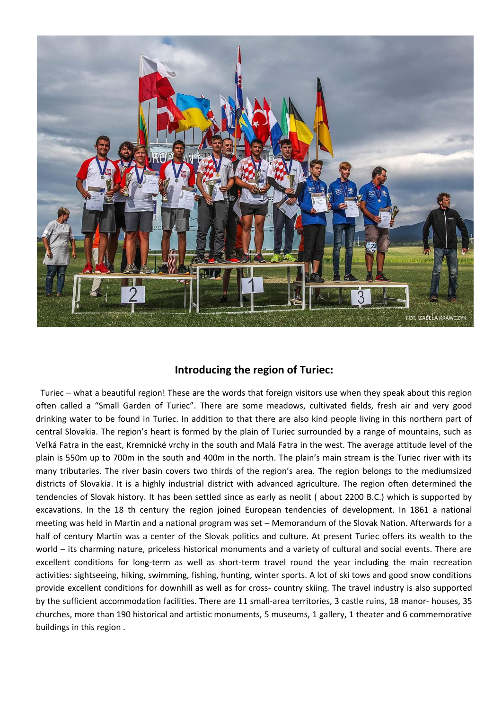

### **Introducing the region of Turiec:**

 Turiec – what a beautiful region! These are the words that foreign visitors use when they speak about this region often called a "Small Garden of Turiec". There are some meadows, cultivated fields, fresh air and very good drinking water to be found in Turiec. In addition to that there are also kind people living in this northern part of central Slovakia. The region's heart is formed by the plain of Turiec surrounded by a range of mountains, such as Veľká Fatra in the east, Kremnické vrchy in the south and Malá Fatra in the west. The average attitude level of the plain is 550m up to 700m in the south and 400m in the north. The plain's main stream is the Turiec river with its many tributaries. The river basin covers two thirds of the region's area. The region belongs to the mediumsized districts of Slovakia. It is a highly industrial district with advanced agriculture. The region often determined the tendencies of Slovak history. It has been settled since as early as neolit ( about 2200 B.C.) which is supported by excavations. In the 18 th century the region joined European tendencies of development. In 1861 a national meeting was held in Martin and a national program was set – Memorandum of the Slovak Nation. Afterwards for a half of century Martin was a center of the Slovak politics and culture. At present Turiec offers its wealth to the world – its charming nature, priceless historical monuments and a variety of cultural and social events. There are excellent conditions for long-term as well as short-term travel round the year including the main recreation activities: sightseeing, hiking, swimming, fishing, hunting, winter sports. A lot of ski tows and good snow conditions provide excellent conditions for downhill as well as for cross- country skiing. The travel industry is also supported by the sufficient accommodation facilities. There are 11 small-area territories, 3 castle ruins, 18 manor- houses, 35 churches, more than 190 historical and artistic monuments, 5 museums, 1 gallery, 1 theater and 6 commemorative buildings in this region .